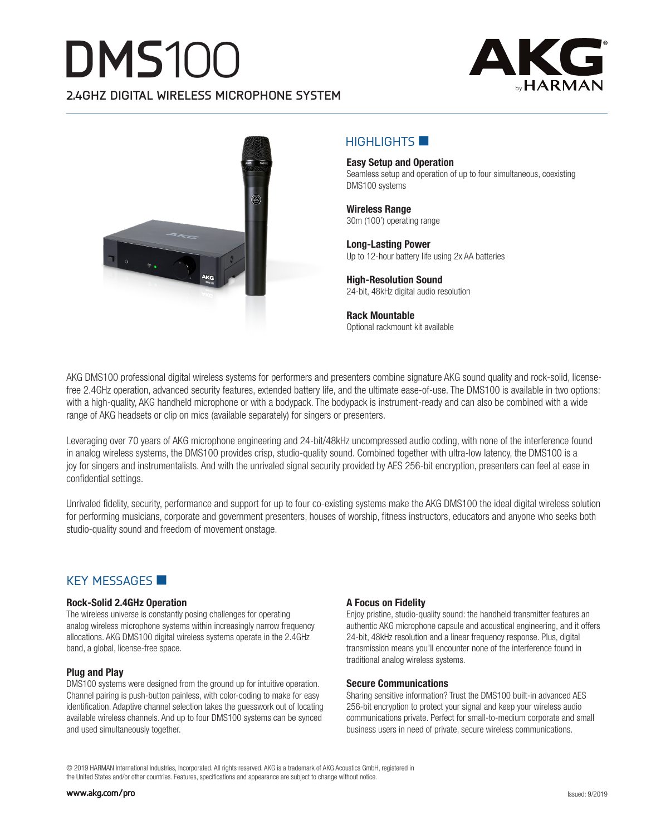# **DMS**100 **2.4GHZ DIGITAL WIRELESS MICROPHONE SYSTEM**





# $H$ IGHLIGHTS  $\blacksquare$

**Easy Setup and Operation** Seamless setup and operation of up to four simultaneous, coexisting DMS100 systems

**Wireless Range** 30m (100') operating range

**Long-Lasting Power** Up to 12-hour battery life using 2x AA batteries

**High-Resolution Sound** 24-bit, 48kHz digital audio resolution

**Rack Mountable** Optional rackmount kit available

AKG DMS100 professional digital wireless systems for performers and presenters combine signature AKG sound quality and rock-solid, licensefree 2.4GHz operation, advanced security features, extended battery life, and the ultimate ease-of-use. The DMS100 is available in two options: with a high-quality, AKG handheld microphone or with a bodypack. The bodypack is instrument-ready and can also be combined with a wide range of AKG headsets or clip on mics (available separately) for singers or presenters.

Leveraging over 70 years of AKG microphone engineering and 24-bit/48kHz uncompressed audio coding, with none of the interference found in analog wireless systems, the DMS100 provides crisp, studio-quality sound. Combined together with ultra-low latency, the DMS100 is a joy for singers and instrumentalists. And with the unrivaled signal security provided by AES 256-bit encryption, presenters can feel at ease in confidential settings.

Unrivaled fidelity, security, performance and support for up to four co-existing systems make the AKG DMS100 the ideal digital wireless solution for performing musicians, corporate and government presenters, houses of worship, fitness instructors, educators and anyone who seeks both studio-quality sound and freedom of movement onstage.

### KEY MESSAGES

#### **Rock-Solid 2.4GHz Operation**

The wireless universe is constantly posing challenges for operating analog wireless microphone systems within increasingly narrow frequency allocations. AKG DMS100 digital wireless systems operate in the 2.4GHz band, a global, license-free space.

#### **Plug and Play**

DMS100 systems were designed from the ground up for intuitive operation. Channel pairing is push-button painless, with color-coding to make for easy identification. Adaptive channel selection takes the guesswork out of locating available wireless channels. And up to four DMS100 systems can be synced and used simultaneously together.

#### **A Focus on Fidelity**

Enjoy pristine, studio-quality sound: the handheld transmitter features an authentic AKG microphone capsule and acoustical engineering, and it offers 24-bit, 48kHz resolution and a linear frequency response. Plus, digital transmission means you'll encounter none of the interference found in traditional analog wireless systems.

#### **Secure Communications**

Sharing sensitive information? Trust the DMS100 built-in advanced AES 256-bit encryption to protect your signal and keep your wireless audio communications private. Perfect for small-to-medium corporate and small business users in need of private, secure wireless communications.

© 2019 HARMAN International Industries, Incorporated. All rights reserved. AKG is a trademark of AKG Acoustics GmbH, registered in the United States and/or other countries. Features, specifications and appearance are subject to change without notice.